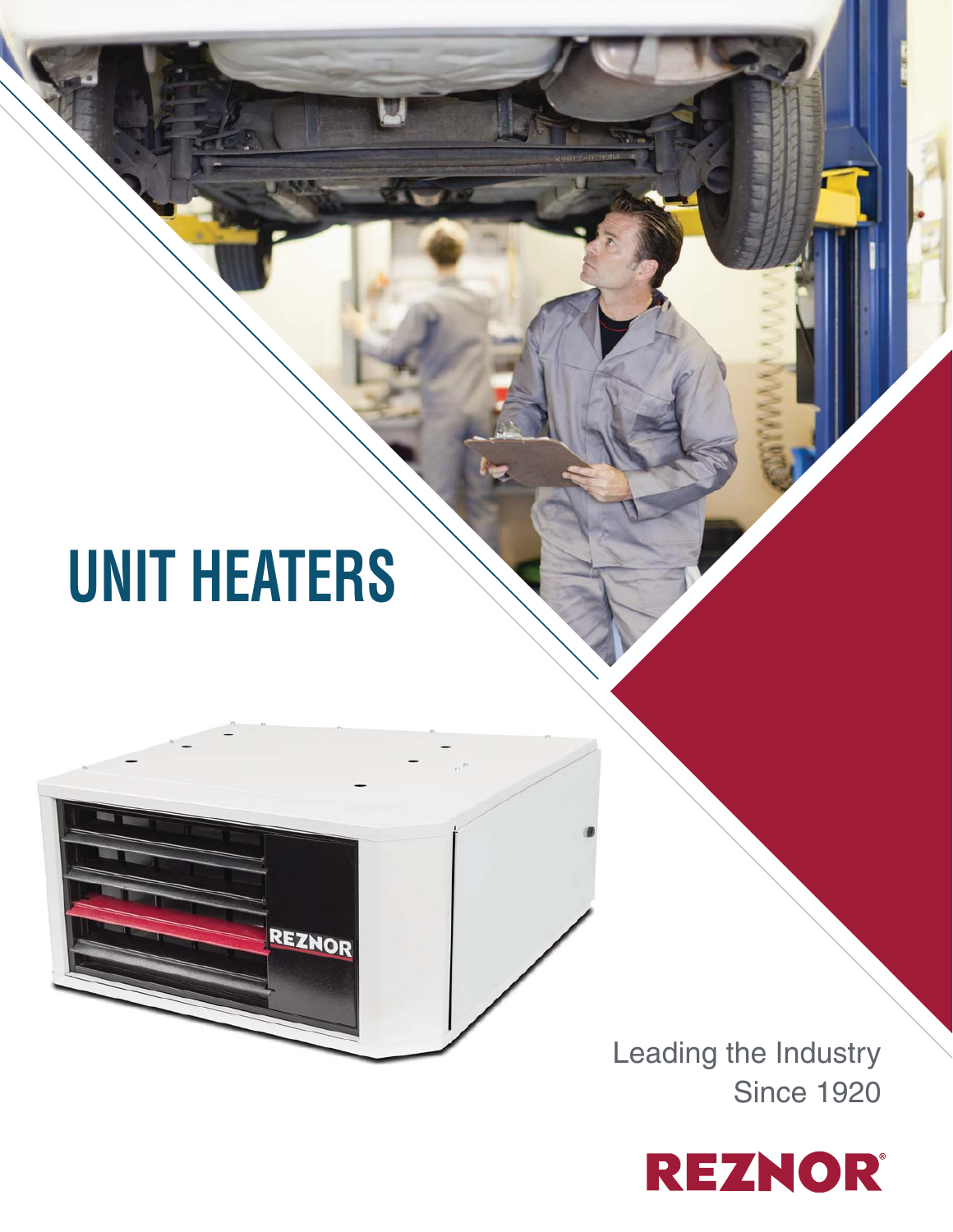# **UNIT HEATERS**

REZNOR



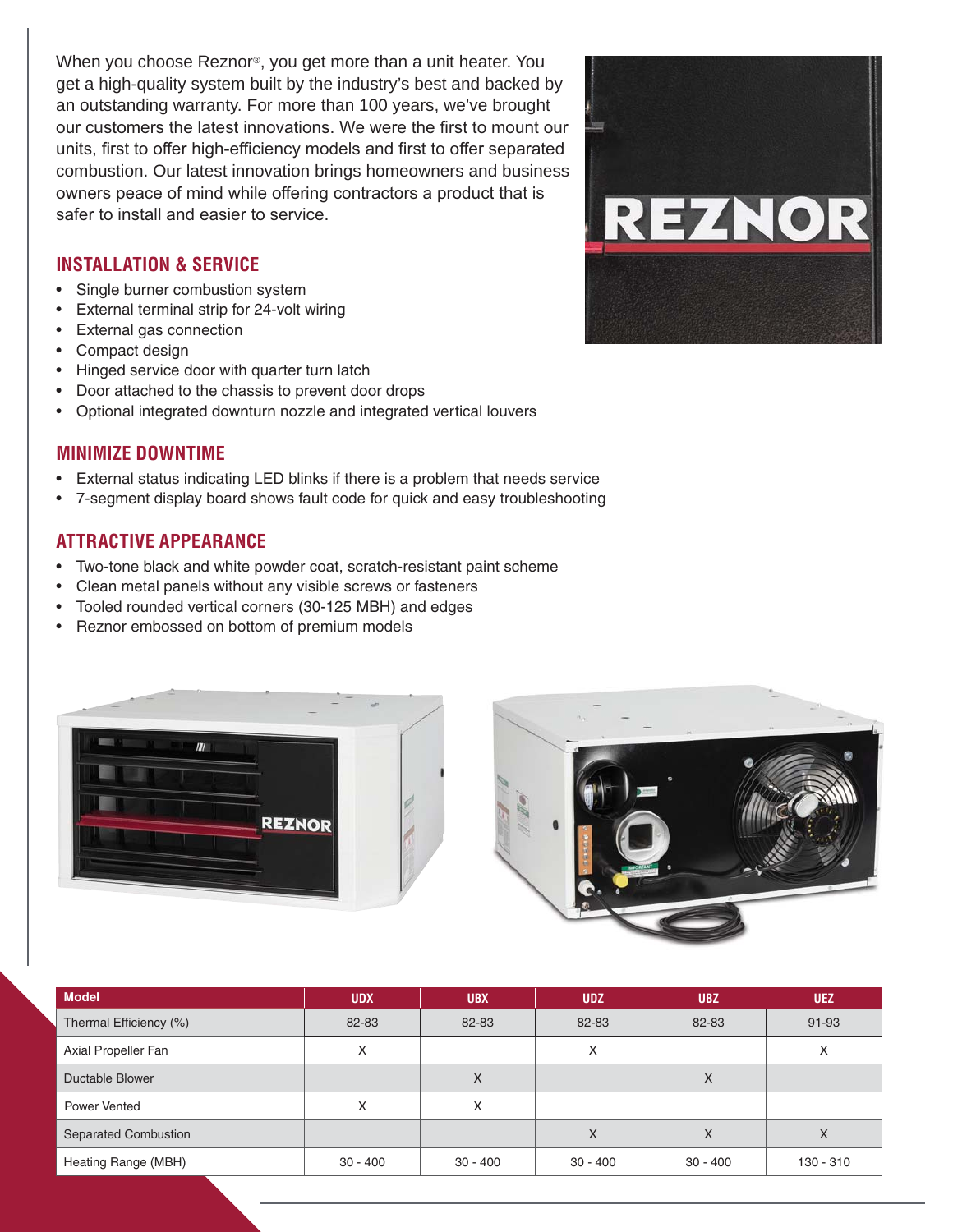When you choose Reznor®, you get more than a unit heater. You get a high-quality system built by the industry's best and backed by an outstanding warranty. For more than 100 years, we've brought our customers the latest innovations. We were the first to mount our units, first to offer high-efficiency models and first to offer separated combustion. Our latest innovation brings homeowners and business owners peace of mind while offering contractors a product that is safer to install and easier to service.

# **INSTALLATION & SERVICE**

- Single burner combustion system
- External terminal strip for 24-volt wiring
- External gas connection
- Compact design
- Hinged service door with quarter turn latch
- Door attached to the chassis to prevent door drops
- Optional integrated downturn nozzle and integrated vertical louvers

#### **MINIMIZE DOWNTIME**

- External status indicating LED blinks if there is a problem that needs service
- 7-segment display board shows fault code for quick and easy troubleshooting

# **ATTRACTIVE APPEARANCE**

- Two-tone black and white powder coat, scratch-resistant paint scheme
- Clean metal panels without any visible screws or fasteners
- Tooled rounded vertical corners (30-125 MBH) and edges
- Reznor embossed on bottom of premium models





| <b>Model</b>                | <b>UDX</b> | <b>UBX</b> | <b>UDZ</b> | <b>UBZ</b> | <b>UEZ</b> |
|-----------------------------|------------|------------|------------|------------|------------|
| Thermal Efficiency (%)      | 82-83      | 82-83      | 82-83      | 82-83      | 91-93      |
| Axial Propeller Fan         | ⋏          |            | X          |            | Х          |
| Ductable Blower             |            | X          |            | Χ          |            |
| Power Vented                | ⋏          | X          |            |            |            |
| <b>Separated Combustion</b> |            |            | X          | x          | X          |
| Heating Range (MBH)         | $30 - 400$ | $30 - 400$ | $30 - 400$ | $30 - 400$ | 130 - 310  |

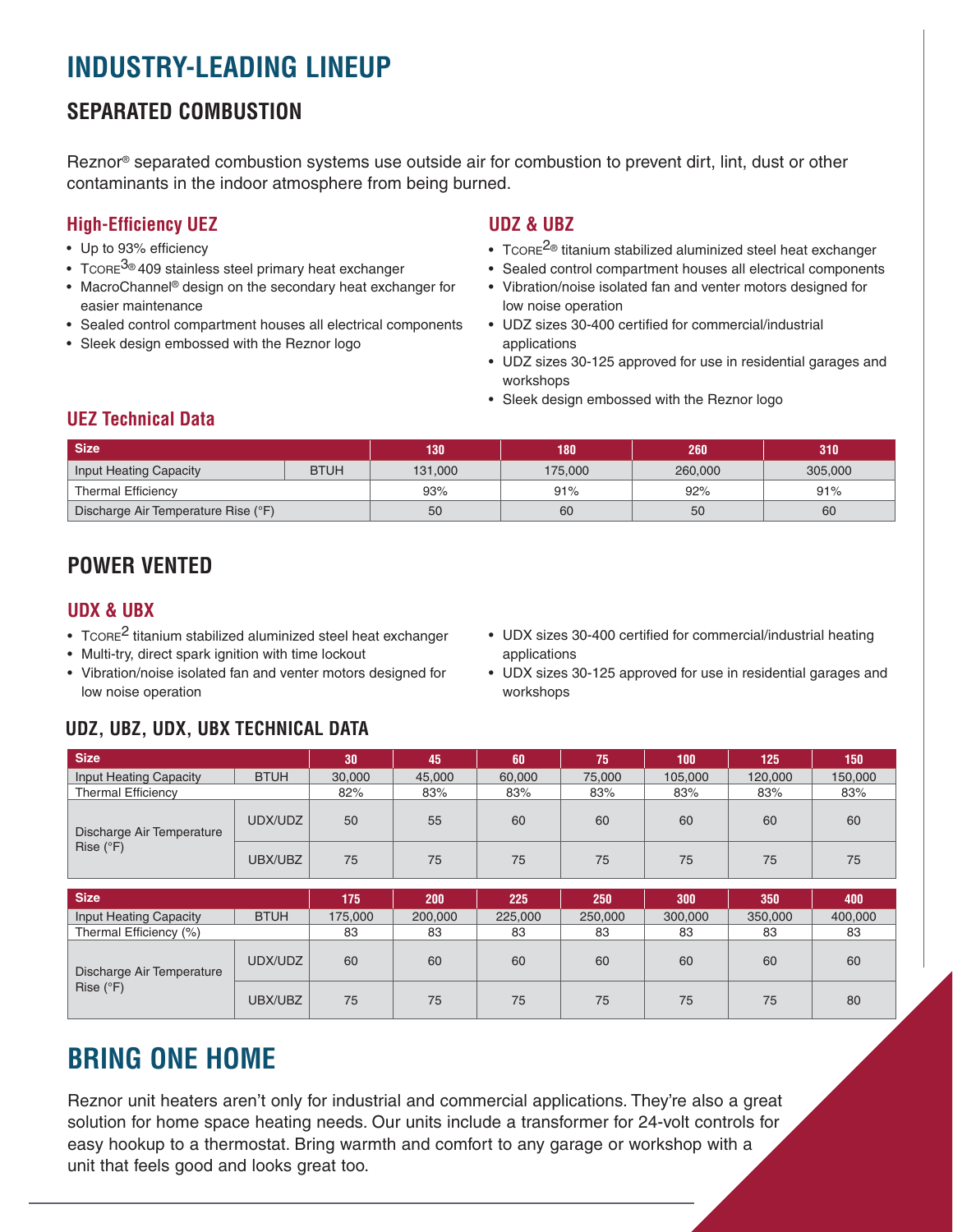# **INDUSTRY-LEADING LINEUP**

# **SEPARATED COMBUSTION**

Reznor® separated combustion systems use outside air for combustion to prevent dirt, lint, dust or other contaminants in the indoor atmosphere from being burned.

# **High-Efficiency UEZ**

- Up to 93% efficiency
- Tcore<sup>3®</sup> 409 stainless steel primary heat exchanger
- MacroChannel® design on the secondary heat exchanger for easier maintenance
- Sealed control compartment houses all electrical components
- Sleek design embossed with the Reznor logo

# **UDZ & UBZ**

- T $\text{CORE}^2$ <sup>®</sup> titanium stabilized aluminized steel heat exchanger
- Sealed control compartment houses all electrical components
- Vibration/noise isolated fan and venter motors designed for low noise operation
- UDZ sizes 30-400 certified for commercial/industrial applications
- UDZ sizes 30-125 approved for use in residential garages and workshops
- Sleek design embossed with the Reznor logo

# **UEZ Technical Data**

| <b>Size</b>                         |             | 130     | 180     | 260     | 310     |  |
|-------------------------------------|-------------|---------|---------|---------|---------|--|
| Input Heating Capacity              | <b>BTUH</b> | 131.000 | 175.000 | 260,000 | 305,000 |  |
| <b>Thermal Efficiency</b>           |             | 93%     | 91%     | 92%     | 91%     |  |
| Discharge Air Temperature Rise (°F) |             | 50      | 60      | 50      | 60      |  |

# **POWER VENTED**

# **UDX & UBX**

- TCORE<sup>2</sup> titanium stabilized aluminized steel heat exchanger
- Multi-try, direct spark ignition with time lockout
- Vibration/noise isolated fan and venter motors designed for low noise operation
- UDX sizes 30-400 certified for commercial/industrial heating applications
- UDX sizes 30-125 approved for use in residential garages and workshops

# **UDZ, UBZ, UDX, UBX TECHNICAL DATA**

| <b>Size</b>                                     |             | 30 <sub>1</sub> | 45     | 60     | 75     | 100     | 125     | 150     |
|-------------------------------------------------|-------------|-----------------|--------|--------|--------|---------|---------|---------|
| <b>Input Heating Capacity</b>                   | <b>BTUH</b> | 30,000          | 45,000 | 60,000 | 75,000 | 105,000 | 120,000 | 150,000 |
| <b>Thermal Efficiency</b>                       |             | 82%             | 83%    | 83%    | 83%    | 83%     | 83%     | 83%     |
| Discharge Air Temperature<br>Rise $(^{\circ}F)$ | UDX/UDZ     | 50              | 55     | 60     | 60     | 60      | 60      | 60      |
|                                                 | UBX/UBZ     | 75              | 75     | 75     | 75     | 75      | 75      | 75      |

| <b>Size</b>                                     |             | 175     | 200     | 225     | 250     | 300     | 350     | 400     |
|-------------------------------------------------|-------------|---------|---------|---------|---------|---------|---------|---------|
| <b>Input Heating Capacity</b>                   | <b>BTUH</b> | 175,000 | 200,000 | 225,000 | 250,000 | 300,000 | 350,000 | 400,000 |
| Thermal Efficiency (%)                          |             | 83      | 83      | 83      | 83      | 83      | 83      | 83      |
| Discharge Air Temperature<br>Rise $(^{\circ}F)$ | UDX/UDZ     | 60      | 60      | 60      | 60      | 60      | 60      | 60      |
|                                                 | UBX/UBZ     | 75      | 75      | 75      | 75      | 75      | 75      | 80      |

# **BRING ONE HOME**

Reznor unit heaters aren't only for industrial and commercial applications. They're also a great solution for home space heating needs. Our units include a transformer for 24-volt controls for easy hookup to a thermostat. Bring warmth and comfort to any garage or workshop with a unit that feels good and looks great too.